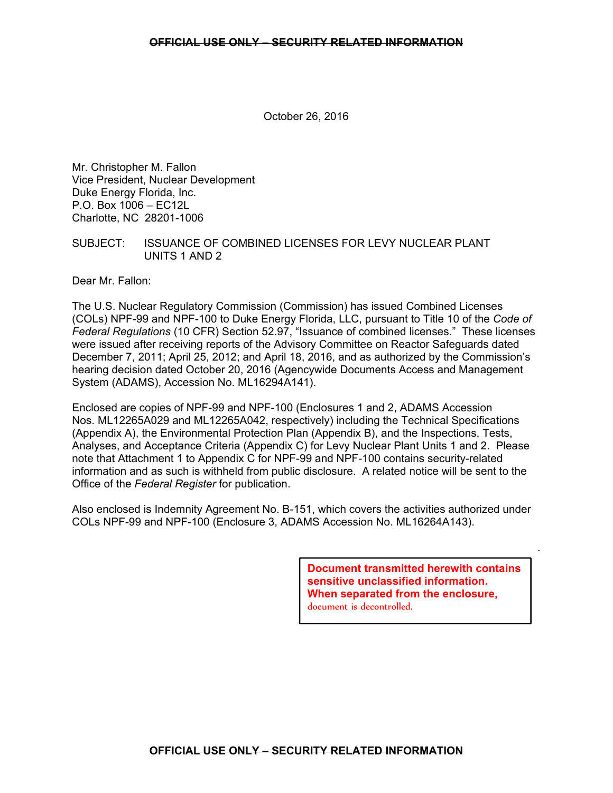October 26, 2016

Mr. Christopher M. Fallon Vice President, Nuclear Development Duke Energy Florida, Inc. P.O. Box 1006 – EC12L Charlotte, NC 28201-1006

### SUBJECT: ISSUANCE OF COMBINED LICENSES FOR LEVY NUCLEAR PLANT UNITS 1 AND 2

Dear Mr. Fallon:

The U.S. Nuclear Regulatory Commission (Commission) has issued Combined Licenses (COLs) NPF-99 and NPF-100 to Duke Energy Florida, LLC, pursuant to Title 10 of the *Code of Federal Regulations* (10 CFR) Section 52.97, "Issuance of combined licenses." These licenses were issued after receiving reports of the Advisory Committee on Reactor Safeguards dated December 7, 2011; April 25, 2012; and April 18, 2016, and as authorized by the Commission's hearing decision dated October 20, 2016 (Agencywide Documents Access and Management System (ADAMS), Accession No. ML16294A141).

Enclosed are copies of NPF-99 and NPF-100 (Enclosures 1 and 2, ADAMS Accession Nos. ML12265A029 and ML12265A042, respectively) including the Technical Specifications (Appendix A), the Environmental Protection Plan (Appendix B), and the Inspections, Tests, Analyses, and Acceptance Criteria (Appendix C) for Levy Nuclear Plant Units 1 and 2. Please note that Attachment 1 to Appendix C for NPF-99 and NPF-100 contains security-related information and as such is withheld from public disclosure. A related notice will be sent to the Office of the *Federal Register* for publication.

Also enclosed is Indemnity Agreement No. B-151, which covers the activities authorized under COLs NPF-99 and NPF-100 (Enclosure 3, ADAMS Accession No. ML16264A143).

> **Document transmitted herewith contains sensitive unclassified information. When separated from the enclosure,** document is decontrolled.

.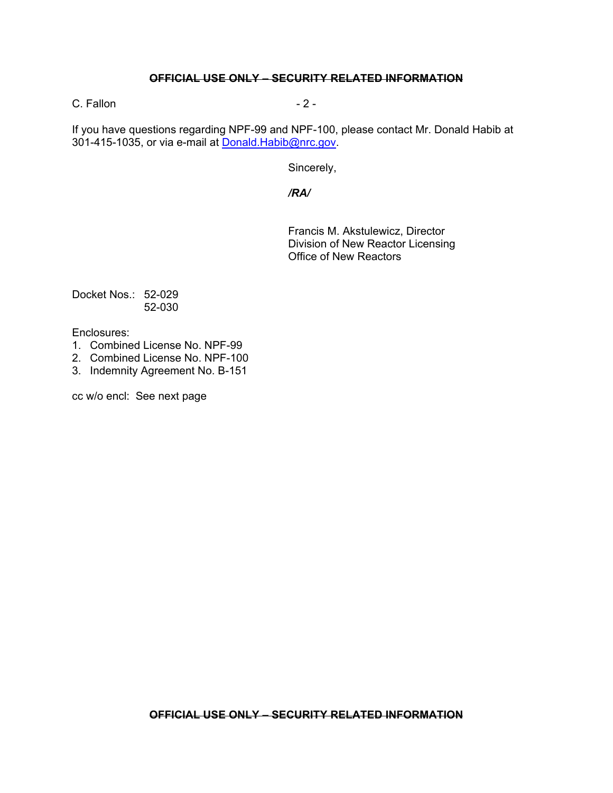# **OFFICIAL USE ONLY – SECURITY RELATED INFORMATION**

 $C.$  Fallon  $-2 -$ 

If you have questions regarding NPF-99 and NPF-100, please contact Mr. Donald Habib at 301-415-1035, or via e-mail at Donald.Habib@nrc.gov.

Sincerely,

*/RA/* 

Francis M. Akstulewicz, Director Division of New Reactor Licensing Office of New Reactors

Docket Nos.: 52-029 52-030

Enclosures:

- 1. Combined License No. NPF-99
- 2. Combined License No. NPF-100
- 3. Indemnity Agreement No. B-151

cc w/o encl: See next page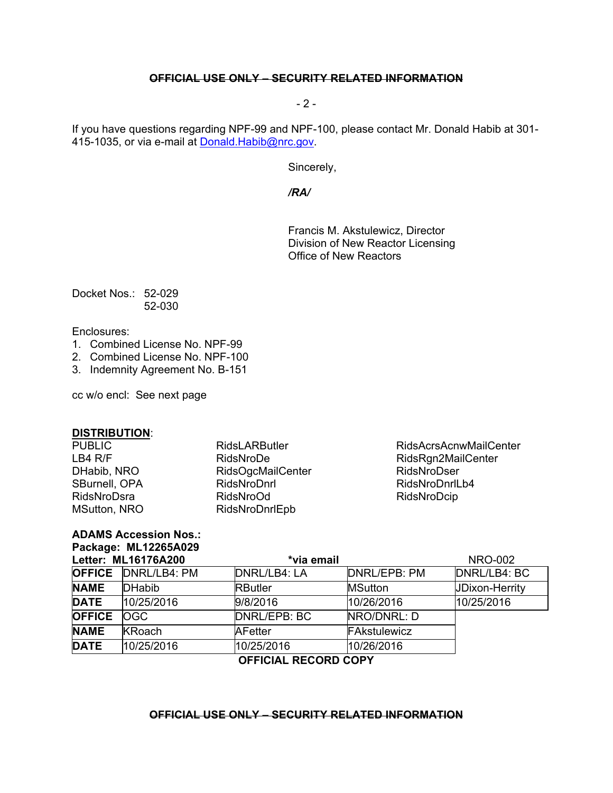# **OFFICIAL USE ONLY – SECURITY RELATED INFORMATION**

 $-2$  -

If you have questions regarding NPF-99 and NPF-100, please contact Mr. Donald Habib at 301- 415-1035, or via e-mail at **Donald. Habib@nrc.gov.** 

Sincerely,

*/RA/* 

Francis M. Akstulewicz, Director Division of New Reactor Licensing Office of New Reactors

Docket Nos.: 52-029 52-030

Enclosures:

- 1. Combined License No. NPF-99
- 2. Combined License No. NPF-100
- 3. Indemnity Agreement No. B-151

cc w/o encl: See next page

**ADAMS Accession Nos.: Package: ML12265A029** 

### **DISTRIBUTION**:

| <b>PUBLIC</b>       | <b>RidsLARButler</b>     |
|---------------------|--------------------------|
| LBA R/F             | RidsNroDe                |
| DHabib, NRO         | <b>RidsOgcMailCenter</b> |
| SBurnell, OPA       | RidsNroDnrl              |
| RidsNroDsra         | <b>RidsNroOd</b>         |
| <b>MSutton, NRO</b> | RidsNroDnrlEpb           |
|                     |                          |

RidsAcrsAcnwMailCenter RidsRgn2MailCenter RidsNroDser RidsNroDnrlLb4 RidsNroDcip

| Letter: ML16176A200  |                            |                     | *via email     |                       |  |
|----------------------|----------------------------|---------------------|----------------|-----------------------|--|
|                      | <b>OFFICE DNRL/LB4: PM</b> | <b>DNRL/LB4: LA</b> | DNRL/EPB: PM   | DNRL/LB4: BC          |  |
| <b>NAME</b>          | <b>DHabib</b>              | <b>RButler</b>      | <b>MSutton</b> | <b>JDixon-Herrity</b> |  |
| <b>DATE</b>          | 10/25/2016                 | 9/8/2016            | 10/26/2016     | 10/25/2016            |  |
| <b>OFFICE</b>        | <b>OGC</b>                 | DNRL/EPB: BC        | NRO/DNRL: D    |                       |  |
| <b>NAME</b>          | <b>KRoach</b>              | <b>AFetter</b>      | FAkstulewicz   |                       |  |
| <b>DATE</b>          | 10/25/2016                 | 10/25/2016          | 10/26/2016     |                       |  |
| OFFICIAL DECOPD CODV |                            |                     |                |                       |  |

**OFFICIAL RECORD COPY**

### **OFFICIAL USE ONLY – SECURITY RELATED INFORMATION**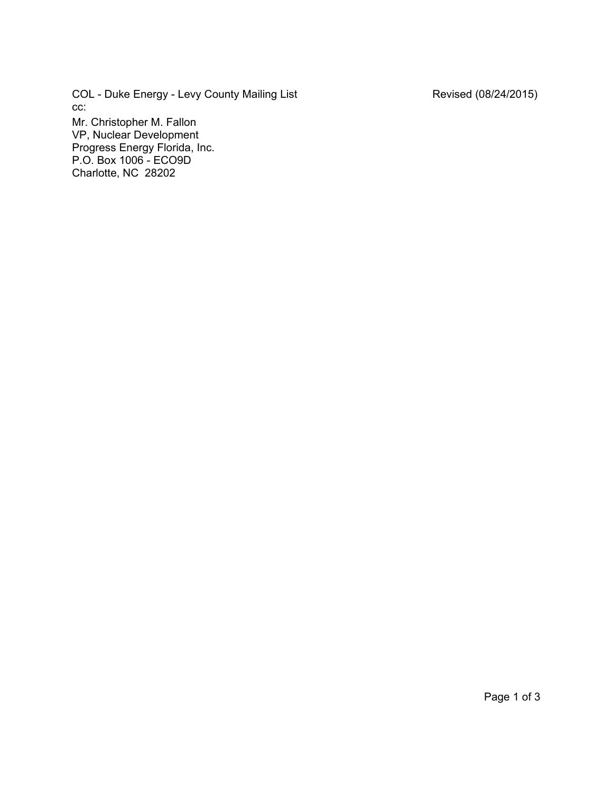COL - Duke Energy - Levy County Mailing List **Revised (08/24/2015)** cc: Mr. Christopher M. Fallon

VP, Nuclear Development Progress Energy Florida, Inc. P.O. Box 1006 - ECO9D Charlotte, NC 28202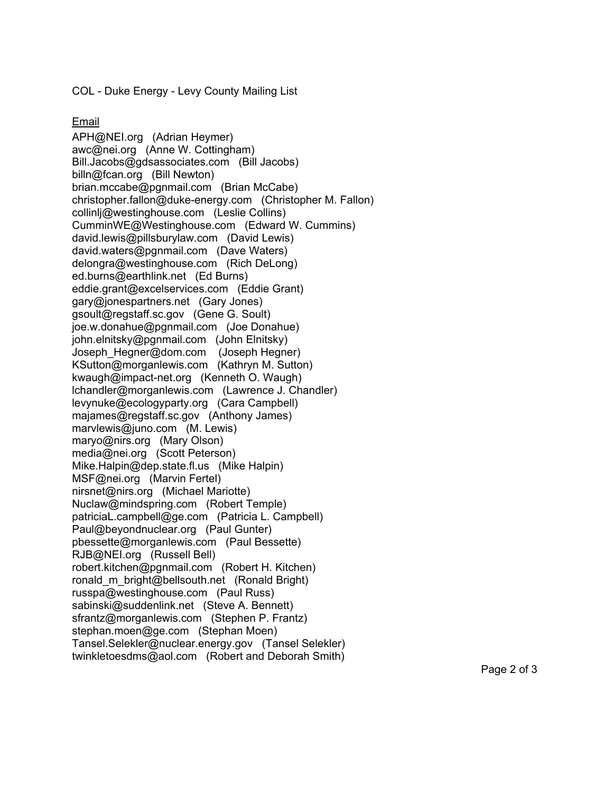COL - Duke Energy - Levy County Mailing List

Email

APH@NEI.org (Adrian Heymer) awc@nei.org (Anne W. Cottingham) Bill.Jacobs@gdsassociates.com (Bill Jacobs) billn@fcan.org (Bill Newton) brian.mccabe@pgnmail.com (Brian McCabe) christopher.fallon@duke-energy.com (Christopher M. Fallon) collinlj@westinghouse.com (Leslie Collins) CumminWE@Westinghouse.com (Edward W. Cummins) david.lewis@pillsburylaw.com (David Lewis) david.waters@pgnmail.com (Dave Waters) delongra@westinghouse.com (Rich DeLong) ed.burns@earthlink.net (Ed Burns) eddie.grant@excelservices.com (Eddie Grant) gary@jonespartners.net (Gary Jones) gsoult@regstaff.sc.gov (Gene G. Soult) joe.w.donahue@pgnmail.com (Joe Donahue) john.elnitsky@pgnmail.com (John Elnitsky) Joseph\_Hegner@dom.com (Joseph Hegner) KSutton@morganlewis.com (Kathryn M. Sutton) kwaugh@impact-net.org (Kenneth O. Waugh) lchandler@morganlewis.com (Lawrence J. Chandler) levynuke@ecologyparty.org (Cara Campbell) majames@regstaff.sc.gov (Anthony James) marvlewis@juno.com (M. Lewis) maryo@nirs.org (Mary Olson) media@nei.org (Scott Peterson) Mike.Halpin@dep.state.fl.us (Mike Halpin) MSF@nei.org (Marvin Fertel) nirsnet@nirs.org (Michael Mariotte) Nuclaw@mindspring.com (Robert Temple) patriciaL.campbell@ge.com (Patricia L. Campbell) Paul@beyondnuclear.org (Paul Gunter) pbessette@morganlewis.com (Paul Bessette) RJB@NEI.org (Russell Bell) robert.kitchen@pgnmail.com (Robert H. Kitchen) ronald m bright@bellsouth.net (Ronald Bright) russpa@westinghouse.com (Paul Russ) sabinski@suddenlink.net (Steve A. Bennett) sfrantz@morganlewis.com (Stephen P. Frantz) stephan.moen@ge.com (Stephan Moen) Tansel.Selekler@nuclear.energy.gov (Tansel Selekler) twinkletoesdms@aol.com (Robert and Deborah Smith)